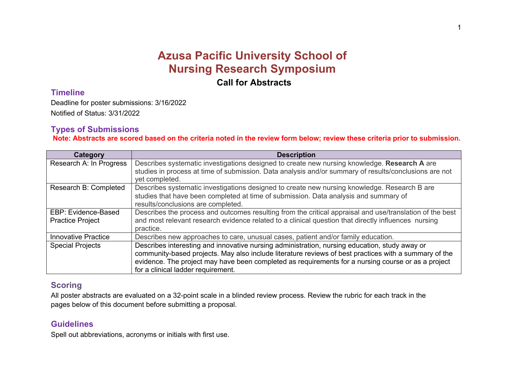# **Azusa Pacific University School of Nursing Research Symposium**

**Call for Abstracts**

### **Timeline**

Deadline for poster submissions: 3/16/2022 Notified of Status: 3/31/2022

# **Types of Submissions**

**Note: Abstracts are scored based on the criteria noted in the review form below; review these criteria prior to submission.**

| Category                                       | <b>Description</b>                                                                                                                                                                                                                                                                                                                                 |
|------------------------------------------------|----------------------------------------------------------------------------------------------------------------------------------------------------------------------------------------------------------------------------------------------------------------------------------------------------------------------------------------------------|
| Research A: In Progress                        | Describes systematic investigations designed to create new nursing knowledge. Research A are<br>studies in process at time of submission. Data analysis and/or summary of results/conclusions are not<br>yet completed.                                                                                                                            |
| Research B: Completed                          | Describes systematic investigations designed to create new nursing knowledge. Research B are<br>studies that have been completed at time of submission. Data analysis and summary of<br>results/conclusions are completed.                                                                                                                         |
| EBP: Evidence-Based<br><b>Practice Project</b> | Describes the process and outcomes resulting from the critical appraisal and use/translation of the best<br>and most relevant research evidence related to a clinical question that directly influences nursing<br>practice.                                                                                                                       |
| <b>Innovative Practice</b>                     | Describes new approaches to care, unusual cases, patient and/or family education.                                                                                                                                                                                                                                                                  |
| <b>Special Projects</b>                        | Describes interesting and innovative nursing administration, nursing education, study away or<br>community-based projects. May also include literature reviews of best practices with a summary of the<br>evidence. The project may have been completed as requirements for a nursing course or as a project<br>for a clinical ladder requirement. |

# **Scoring**

All poster abstracts are evaluated on a 32-point scale in a blinded review process. Review the rubric for each track in the pages below of this document before submitting a proposal.

# **Guidelines**

Spell out abbreviations, acronyms or initials with first use.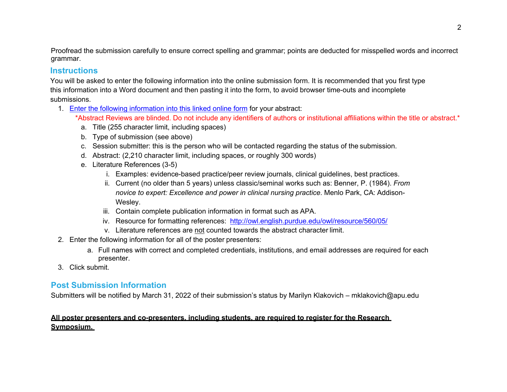Proofread the submission carefully to ensure correct spelling and grammar; points are deducted for misspelled words and incorrect grammar.

#### **Instructions**

You will be asked to enter the following information into the online submission form. It is recommended that you first type this information into a Word document and then pasting it into the form, to avoid browser time-outs and incomplete submissions.

- 1. Enter the following information into this linked online form for your abstract:
	- \*Abstract Reviews are blinded. Do not include any identifiers of authors or institutional affiliations within the title or abstract.\*
		- a. Title (255 character limit, including spaces)
		- b. Type of submission (see above)
		- c. Session submitter: this is the person who will be contacted regarding the status of the submission.
		- d. Abstract: (2,210 character limit, including spaces, or roughly 300 words)
		- e. Literature References (3-5)
			- i. Examples: evidence-based practice/peer review journals, clinical guidelines, best practices.
			- ii. Current (no older than 5 years) unless classic/seminal works such as: Benner, P. (1984). *From novice to expert: Excellence and power in clinical nursing practice*. Menlo Park, CA: Addison-Wesley.
			- iii. Contain complete publication information in format such as APA.
			- iv. Resource for formatting references: http://owl.english.purdue.edu/owl/resource/560/05/
			- v. Literature references are not counted towards the abstract character limit.
- 2. Enter the following information for all of the poster presenters:
	- a. Full names with correct and completed credentials, institutions, and email addresses are required for each presenter.
- 3. Click submit.

# **Post Submission Information**

Submitters will be notified by March 31, 2022 of their submission's status by Marilyn Klakovich – mklakovich@apu.edu

#### **All poster presenters and co-presenters, including students, are required to register for the Research Symposium.**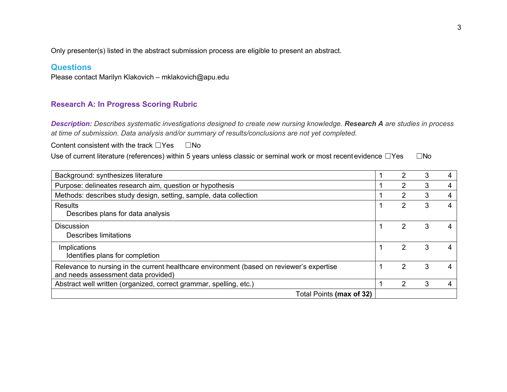Only presenter(s) listed in the abstract submission process are eligible to present an abstract.

### **Questions**

Please contact Marilyn Klakovich – mklakovich@apu.edu

### **Research A: In Progress Scoring Rubric**

*Description: Describes systematic investigations designed to create new nursing knowledge. Research A are studies in process at time of submission. Data analysis and/or summary of results/conclusions are not yet completed*.

Content consistent with the track  $□Yes \t□No$ 

Use of current literature (references) within 5 years unless classic or seminal work or most recent evidence □Yes □No

| Background: synthesizes literature                                                                                               |  |               |   |   |
|----------------------------------------------------------------------------------------------------------------------------------|--|---------------|---|---|
| Purpose: delineates research aim, question or hypothesis                                                                         |  |               |   | 4 |
| Methods: describes study design, setting, sample, data collection                                                                |  | $\mathcal{P}$ | 3 |   |
| Results<br>Describes plans for data analysis                                                                                     |  |               | 3 |   |
| <b>Discussion</b><br>Describes limitations                                                                                       |  |               |   |   |
| Implications<br>Identifies plans for completion                                                                                  |  |               | 3 |   |
| Relevance to nursing in the current healthcare environment (based on reviewer's expertise<br>and needs assessment data provided) |  | 2             | 3 |   |
| Abstract well written (organized, correct grammar, spelling, etc.)                                                               |  |               |   |   |
| Total Points (max of 32)                                                                                                         |  |               |   |   |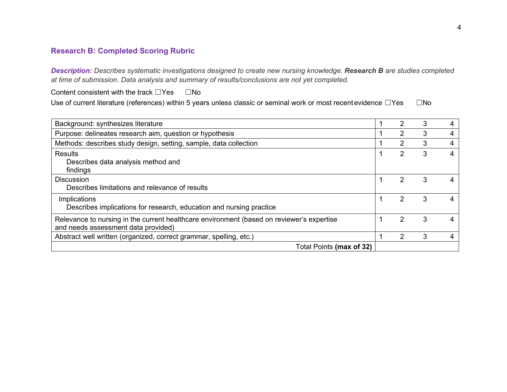# **Research B: Completed Scoring Rubric**

*Description: Describes systematic investigations designed to create new nursing knowledge. Research B are studies completed at time of submission. Data analysis and summary of results/conclusions are not yet completed.*

Content consistent with the track ☐Yes ☐No

Use of current literature (references) within 5 years unless classic or seminal work or most recentevidence □Yes □No

| Background: synthesizes literature                                                                                               |  | 2 | 3 |  |
|----------------------------------------------------------------------------------------------------------------------------------|--|---|---|--|
| Purpose: delineates research aim, question or hypothesis                                                                         |  | 2 | 3 |  |
| Methods: describes study design, setting, sample, data collection                                                                |  | 2 | 3 |  |
| Results<br>Describes data analysis method and<br>findings                                                                        |  | 2 | 3 |  |
| <b>Discussion</b><br>Describes limitations and relevance of results                                                              |  | 2 | 3 |  |
| Implications<br>Describes implications for research, education and nursing practice                                              |  | 2 | 3 |  |
| Relevance to nursing in the current healthcare environment (based on reviewer's expertise<br>and needs assessment data provided) |  | 2 | 3 |  |
| Abstract well written (organized, correct grammar, spelling, etc.)                                                               |  | 2 | 3 |  |
| Total Points (max of 32)                                                                                                         |  |   |   |  |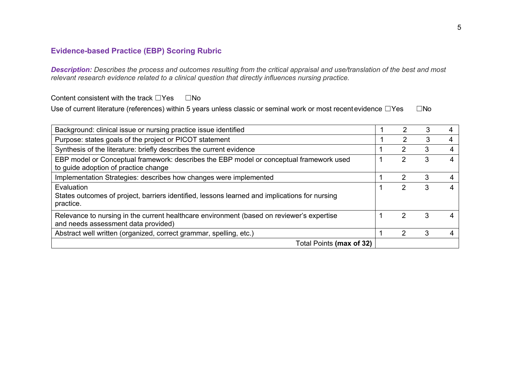# **Evidence-based Practice (EBP) Scoring Rubric**

*Description: Describes the process and outcomes resulting from the critical appraisal and use/translation of the best and most relevant research evidence related to a clinical question that directly influences nursing practice.*

Content consistent with the track  $□Yes \t□No$ 

Use of current literature (references) within 5 years unless classic or seminal work or most recentevidence □Yes □No

| Background: clinical issue or nursing practice issue identified                                                                  |  |   |   |   |
|----------------------------------------------------------------------------------------------------------------------------------|--|---|---|---|
| Purpose: states goals of the project or PICOT statement                                                                          |  |   |   |   |
| Synthesis of the literature: briefly describes the current evidence                                                              |  | 2 | 3 | 4 |
| EBP model or Conceptual framework: describes the EBP model or conceptual framework used<br>to guide adoption of practice change  |  | 2 | 3 |   |
| Implementation Strategies: describes how changes were implemented                                                                |  | 2 | 3 |   |
| Evaluation<br>States outcomes of project, barriers identified, lessons learned and implications for nursing<br>practice.         |  | 2 |   |   |
| Relevance to nursing in the current healthcare environment (based on reviewer's expertise<br>and needs assessment data provided) |  | 2 | 3 |   |
| Abstract well written (organized, correct grammar, spelling, etc.)                                                               |  | າ |   |   |
| Total Points (max of 32)                                                                                                         |  |   |   |   |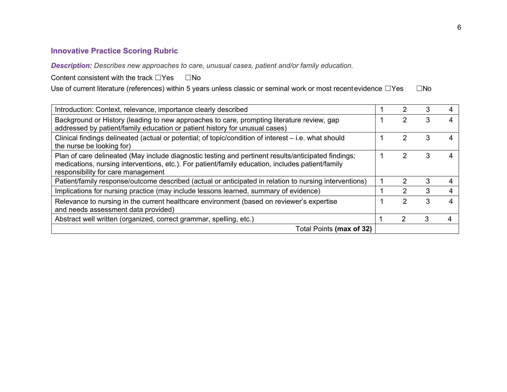# **Innovative Practice Scoring Rubric**

*Description: Describes new approaches to care, unusual cases, patient and/or family education.*

Content consistent with the track □Yes □No

Use of current literature (references) within 5 years unless classic or seminal work or most recentevidence □Yes □No

| Introduction: Context, relevance, importance clearly described                                                                                                                                                                                |  |   |   |  |
|-----------------------------------------------------------------------------------------------------------------------------------------------------------------------------------------------------------------------------------------------|--|---|---|--|
| Background or History (leading to new approaches to care, prompting literature review, gap<br>addressed by patient/family education or patient history for unusual cases)                                                                     |  |   |   |  |
| Clinical findings delineated (actual or potential; of topic/condition of interest - i.e. what should<br>the nurse be looking for)                                                                                                             |  |   |   |  |
| Plan of care delineated (May include diagnostic testing and pertinent results/anticipated findings;<br>medications, nursing interventions, etc.). For patient/family education, includes patient/family<br>responsibility for care management |  |   |   |  |
| Patient/family response/outcome described (actual or anticipated in relation to nursing interventions)                                                                                                                                        |  |   |   |  |
| Implications for nursing practice (may include lessons learned, summary of evidence)                                                                                                                                                          |  |   |   |  |
| Relevance to nursing in the current healthcare environment (based on reviewer's expertise<br>and needs assessment data provided)                                                                                                              |  |   | 3 |  |
| Abstract well written (organized, correct grammar, spelling, etc.)                                                                                                                                                                            |  | 2 |   |  |
| Total Points (max of 32)                                                                                                                                                                                                                      |  |   |   |  |